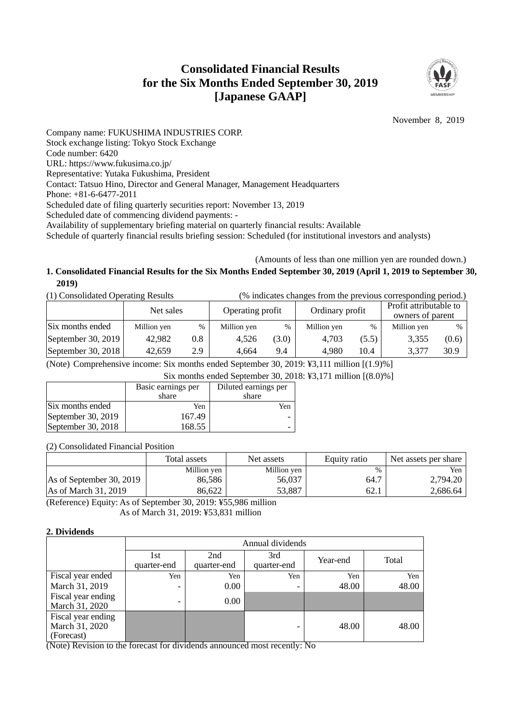# **Consolidated Financial Results for the Six Months Ended September 30, 2019 [Japanese GAAP]**



November 8, 2019

Company name: FUKUSHIMA INDUSTRIES CORP. Stock exchange listing: Tokyo Stock Exchange Code number: 6420 URL: https://www.fukusima.co.jp/ Representative: Yutaka Fukushima, President Contact: Tatsuo Hino, Director and General Manager, Management Headquarters Phone: +81-6-6477-2011 Scheduled date of filing quarterly securities report: November 13, 2019 Scheduled date of commencing dividend payments: - Availability of supplementary briefing material on quarterly financial results: Available Schedule of quarterly financial results briefing session: Scheduled (for institutional investors and analysts)

## (Amounts of less than one million yen are rounded down.) **1. Consolidated Financial Results for the Six Months Ended September 30, 2019 (April 1, 2019 to September 30, 2019)**

| (1) Consolidated Operating Results |             |     |                  |       | (% indicates changes from the previous corresponding period.) |       |                 |       |                                            |  |
|------------------------------------|-------------|-----|------------------|-------|---------------------------------------------------------------|-------|-----------------|-------|--------------------------------------------|--|
|                                    | Net sales   |     | Operating profit |       |                                                               |       | Ordinary profit |       | Profit attributable to<br>owners of parent |  |
| Six months ended                   | Million yen | %   | Million yen      | $\%$  | Million yen                                                   | $\%$  | Million yen     | %     |                                            |  |
| September 30, 2019                 | 42,982      | 0.8 | 4.526            | (3.0) | 4.703                                                         | (5.5) | 3,355           | (0.6) |                                            |  |
| September 30, 2018                 | 42,659      | 2.9 | 4.664            | 9.4   | 4,980                                                         | 10.4  | 3,377           | 30.9  |                                            |  |

(Note) Comprehensive income: Six months ended September 30, 2019: ¥3,111 million [(1.9)%]

Six months ended September 30, 2018: ¥3,171 million [(8.0)%]

|                    | Basic earnings per | Diluted earnings per |
|--------------------|--------------------|----------------------|
|                    | share              | share                |
| Six months ended   | Yen                | Yen.                 |
| September 30, 2019 | 167.49             |                      |
| September 30, 2018 | 168.55             |                      |

(2) Consolidated Financial Position

|                               | Total assets | Net assets  | Equity ratio | Net assets per share |
|-------------------------------|--------------|-------------|--------------|----------------------|
|                               | Million yen  | Million yen | %            | Yen                  |
| As of September 30, 2019      | 86.586       | 56,037      | 64.7         | 2,794.20             |
| $\text{As}$ of March 31, 2019 | 86,622       | 53,887      | 62.1         | 2,686.64             |

(Reference) Equity: As of September 30, 2019: ¥55,986 million As of March 31, 2019: ¥53,831 million

### **2. Dividends**

|                                                    | Annual dividends         |                    |                    |          |       |  |  |
|----------------------------------------------------|--------------------------|--------------------|--------------------|----------|-------|--|--|
|                                                    | 1st<br>quarter-end       | 2nd<br>quarter-end | 3rd<br>quarter-end | Year-end | Total |  |  |
| Fiscal year ended                                  | Yen                      | Yen                | Yen                | Yen      | Yen   |  |  |
| March 31, 2019                                     | $\overline{\phantom{a}}$ | 0.00               | -                  | 48.00    | 48.00 |  |  |
| Fiscal year ending<br>March 31, 2020               | $\overline{\phantom{0}}$ | 0.00               |                    |          |       |  |  |
| Fiscal year ending<br>March 31, 2020<br>(Forecast) |                          |                    |                    | 48.00    | 48.00 |  |  |

(Note) Revision to the forecast for dividends announced most recently: No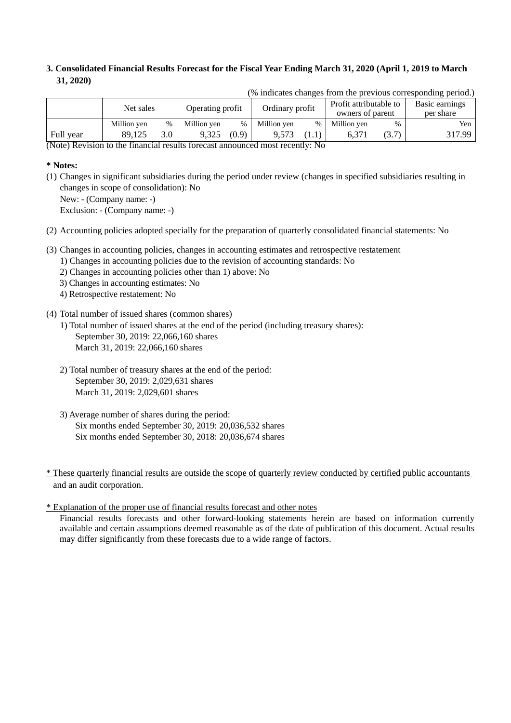## **3. Consolidated Financial Results Forecast for the Fiscal Year Ending March 31, 2020 (April 1, 2019 to March 31, 2020)**

| to multitude changed from the previous corresponding periodity |             |      |                  |       |                 |      |                        |       |                |
|----------------------------------------------------------------|-------------|------|------------------|-------|-----------------|------|------------------------|-------|----------------|
|                                                                | Net sales   |      | Operating profit |       | Ordinary profit |      | Profit attributable to |       | Basic earnings |
|                                                                |             |      |                  |       |                 |      | owners of parent       |       | per share      |
|                                                                | Million yen | $\%$ | Million yen      | %     | Million yen     | $\%$ | Million yen            | $\%$  | Yen.           |
| Full year                                                      | 89,125      | 3.0  | 9.325            | (0.9) | 9.573           |      | 6.371                  | (3.7) | 317.99         |

(% indicates changes from the previous corresponding period.)

(Note) Revision to the financial results forecast announced most recently: No

### **\* Notes:**

- (1) Changes in significant subsidiaries during the period under review (changes in specified subsidiaries resulting in changes in scope of consolidation): No
	- New: (Company name: -)

Exclusion: - (Company name: -)

- (2) Accounting policies adopted specially for the preparation of quarterly consolidated financial statements: No
- (3) Changes in accounting policies, changes in accounting estimates and retrospective restatement
	- 1) Changes in accounting policies due to the revision of accounting standards: No
	- 2) Changes in accounting policies other than 1) above: No
	- 3) Changes in accounting estimates: No
	- 4) Retrospective restatement: No
- (4) Total number of issued shares (common shares)
	- 1) Total number of issued shares at the end of the period (including treasury shares): September 30, 2019: 22,066,160 shares March 31, 2019: 22,066,160 shares
	- 2) Total number of treasury shares at the end of the period: September 30, 2019: 2,029,631 shares March 31, 2019: 2,029,601 shares
	- 3) Average number of shares during the period: Six months ended September 30, 2019: 20,036,532 shares Six months ended September 30, 2018: 20,036,674 shares

\* Explanation of the proper use of financial results forecast and other notes

Financial results forecasts and other forward-looking statements herein are based on information currently available and certain assumptions deemed reasonable as of the date of publication of this document. Actual results may differ significantly from these forecasts due to a wide range of factors.

<sup>\*</sup> These quarterly financial results are outside the scope of quarterly review conducted by certified public accountants and an audit corporation.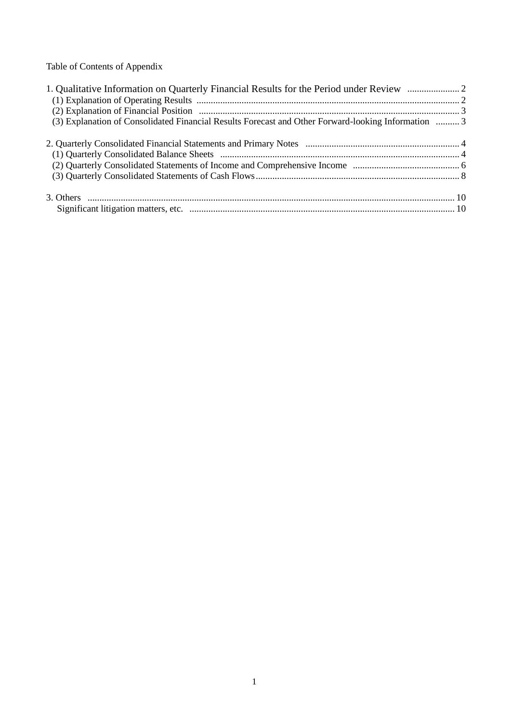Table of Contents of Appendix

| 1. Qualitative Information on Quarterly Financial Results for the Period under Review               |  |
|-----------------------------------------------------------------------------------------------------|--|
|                                                                                                     |  |
|                                                                                                     |  |
| (3) Explanation of Consolidated Financial Results Forecast and Other Forward-looking Information  3 |  |
|                                                                                                     |  |
|                                                                                                     |  |
|                                                                                                     |  |
|                                                                                                     |  |
|                                                                                                     |  |
|                                                                                                     |  |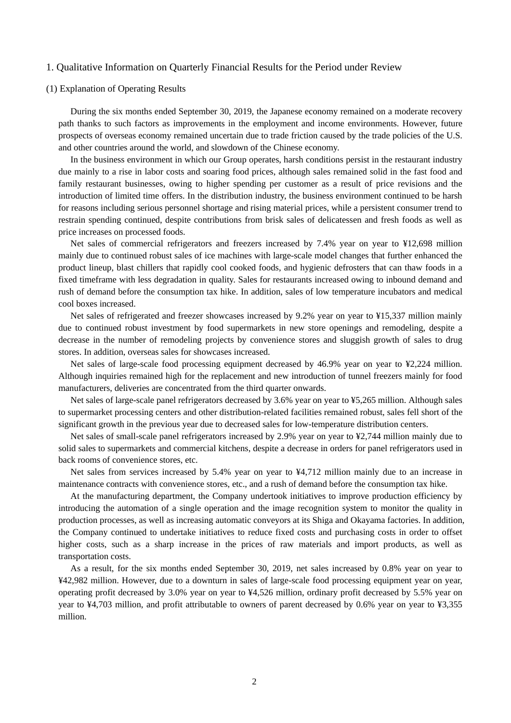#### 1. Qualitative Information on Quarterly Financial Results for the Period under Review

#### (1) Explanation of Operating Results

During the six months ended September 30, 2019, the Japanese economy remained on a moderate recovery path thanks to such factors as improvements in the employment and income environments. However, future prospects of overseas economy remained uncertain due to trade friction caused by the trade policies of the U.S. and other countries around the world, and slowdown of the Chinese economy.

In the business environment in which our Group operates, harsh conditions persist in the restaurant industry due mainly to a rise in labor costs and soaring food prices, although sales remained solid in the fast food and family restaurant businesses, owing to higher spending per customer as a result of price revisions and the introduction of limited time offers. In the distribution industry, the business environment continued to be harsh for reasons including serious personnel shortage and rising material prices, while a persistent consumer trend to restrain spending continued, despite contributions from brisk sales of delicatessen and fresh foods as well as price increases on processed foods.

Net sales of commercial refrigerators and freezers increased by 7.4% year on year to ¥12,698 million mainly due to continued robust sales of ice machines with large-scale model changes that further enhanced the product lineup, blast chillers that rapidly cool cooked foods, and hygienic defrosters that can thaw foods in a fixed timeframe with less degradation in quality. Sales for restaurants increased owing to inbound demand and rush of demand before the consumption tax hike. In addition, sales of low temperature incubators and medical cool boxes increased.

Net sales of refrigerated and freezer showcases increased by 9.2% year on year to ¥15,337 million mainly due to continued robust investment by food supermarkets in new store openings and remodeling, despite a decrease in the number of remodeling projects by convenience stores and sluggish growth of sales to drug stores. In addition, overseas sales for showcases increased.

Net sales of large-scale food processing equipment decreased by 46.9% year on year to ¥2,224 million. Although inquiries remained high for the replacement and new introduction of tunnel freezers mainly for food manufacturers, deliveries are concentrated from the third quarter onwards.

Net sales of large-scale panel refrigerators decreased by 3.6% year on year to ¥5,265 million. Although sales to supermarket processing centers and other distribution-related facilities remained robust, sales fell short of the significant growth in the previous year due to decreased sales for low-temperature distribution centers.

Net sales of small-scale panel refrigerators increased by 2.9% year on year to ¥2,744 million mainly due to solid sales to supermarkets and commercial kitchens, despite a decrease in orders for panel refrigerators used in back rooms of convenience stores, etc.

Net sales from services increased by 5.4% year on year to ¥4,712 million mainly due to an increase in maintenance contracts with convenience stores, etc., and a rush of demand before the consumption tax hike.

At the manufacturing department, the Company undertook initiatives to improve production efficiency by introducing the automation of a single operation and the image recognition system to monitor the quality in production processes, as well as increasing automatic conveyors at its Shiga and Okayama factories. In addition, the Company continued to undertake initiatives to reduce fixed costs and purchasing costs in order to offset higher costs, such as a sharp increase in the prices of raw materials and import products, as well as transportation costs.

As a result, for the six months ended September 30, 2019, net sales increased by 0.8% year on year to ¥42,982 million. However, due to a downturn in sales of large-scale food processing equipment year on year, operating profit decreased by 3.0% year on year to ¥4,526 million, ordinary profit decreased by 5.5% year on year to ¥4,703 million, and profit attributable to owners of parent decreased by 0.6% year on year to ¥3,355 million.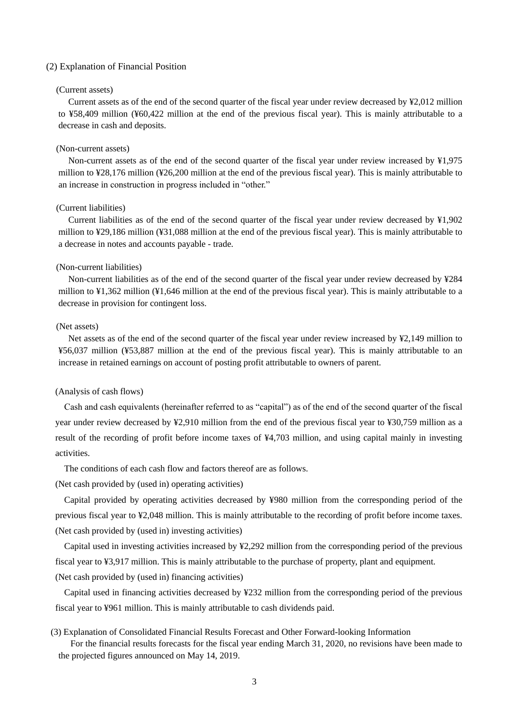#### (2) Explanation of Financial Position

## (Current assets)

Current assets as of the end of the second quarter of the fiscal year under review decreased by ¥2,012 million to ¥58,409 million (¥60,422 million at the end of the previous fiscal year). This is mainly attributable to a decrease in cash and deposits.

#### (Non-current assets)

Non-current assets as of the end of the second quarter of the fiscal year under review increased by ¥1,975 million to ¥28,176 million (¥26,200 million at the end of the previous fiscal year). This is mainly attributable to an increase in construction in progress included in "other."

#### (Current liabilities)

Current liabilities as of the end of the second quarter of the fiscal year under review decreased by ¥1,902 million to ¥29,186 million (¥31,088 million at the end of the previous fiscal year). This is mainly attributable to a decrease in notes and accounts payable - trade.

#### (Non-current liabilities)

Non-current liabilities as of the end of the second quarter of the fiscal year under review decreased by ¥284 million to ¥1,362 million (¥1,646 million at the end of the previous fiscal year). This is mainly attributable to a decrease in provision for contingent loss.

#### (Net assets)

Net assets as of the end of the second quarter of the fiscal year under review increased by ¥2,149 million to ¥56,037 million (¥53,887 million at the end of the previous fiscal year). This is mainly attributable to an increase in retained earnings on account of posting profit attributable to owners of parent.

#### (Analysis of cash flows)

Cash and cash equivalents (hereinafter referred to as "capital") as of the end of the second quarter of the fiscal year under review decreased by ¥2,910 million from the end of the previous fiscal year to ¥30,759 million as a result of the recording of profit before income taxes of ¥4,703 million, and using capital mainly in investing activities.

The conditions of each cash flow and factors thereof are as follows.

(Net cash provided by (used in) operating activities)

Capital provided by operating activities decreased by ¥980 million from the corresponding period of the previous fiscal year to ¥2,048 million. This is mainly attributable to the recording of profit before income taxes. (Net cash provided by (used in) investing activities)

Capital used in investing activities increased by ¥2,292 million from the corresponding period of the previous fiscal year to ¥3,917 million. This is mainly attributable to the purchase of property, plant and equipment.

(Net cash provided by (used in) financing activities)

Capital used in financing activities decreased by ¥232 million from the corresponding period of the previous fiscal year to ¥961 million. This is mainly attributable to cash dividends paid.

(3) Explanation of Consolidated Financial Results Forecast and Other Forward-looking Information For the financial results forecasts for the fiscal year ending March 31, 2020, no revisions have been made to the projected figures announced on May 14, 2019.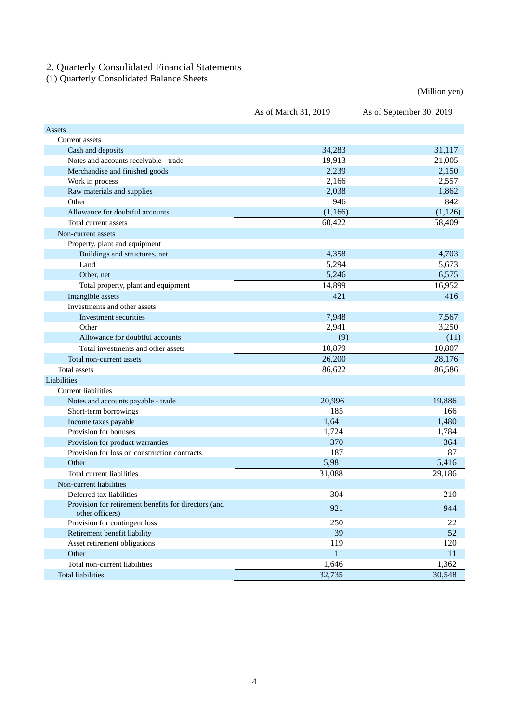### 2. Quarterly Consolidated Financial Statements

(1) Quarterly Consolidated Balance Sheets

(Million yen)

|                                                                         | As of March 31, 2019 | As of September 30, 2019 |
|-------------------------------------------------------------------------|----------------------|--------------------------|
| Assets                                                                  |                      |                          |
| Current assets                                                          |                      |                          |
| Cash and deposits                                                       | 34,283               | 31,117                   |
| Notes and accounts receivable - trade                                   | 19,913               | 21,005                   |
| Merchandise and finished goods                                          | 2,239                | 2,150                    |
| Work in process                                                         | 2,166                | 2,557                    |
| Raw materials and supplies                                              | 2,038                | 1,862                    |
| Other                                                                   | 946                  | 842                      |
| Allowance for doubtful accounts                                         | (1,166)              | (1,126)                  |
| Total current assets                                                    | 60,422               | 58,409                   |
| Non-current assets                                                      |                      |                          |
| Property, plant and equipment                                           |                      |                          |
| Buildings and structures, net                                           | 4,358                | 4,703                    |
| Land                                                                    | 5,294                | 5,673                    |
| Other, net                                                              | 5,246                | 6,575                    |
| Total property, plant and equipment                                     | 14,899               | 16,952                   |
| Intangible assets                                                       | 421                  | 416                      |
| Investments and other assets                                            |                      |                          |
| Investment securities                                                   | 7,948                | 7,567                    |
| Other                                                                   | 2,941                | 3,250                    |
| Allowance for doubtful accounts                                         | (9)                  | (11)                     |
| Total investments and other assets                                      | 10,879               | 10,807                   |
| Total non-current assets                                                | 26,200               | 28,176                   |
| <b>Total assets</b>                                                     | 86,622               | 86,586                   |
| Liabilities                                                             |                      |                          |
| Current liabilities                                                     |                      |                          |
| Notes and accounts payable - trade                                      | 20,996               | 19,886                   |
| Short-term borrowings                                                   | 185                  | 166                      |
| Income taxes payable                                                    | 1,641                | 1,480                    |
| Provision for bonuses                                                   | 1,724                | 1,784                    |
| Provision for product warranties                                        | 370                  | 364                      |
| Provision for loss on construction contracts                            | 187                  | 87                       |
| Other                                                                   | 5,981                | 5,416                    |
| Total current liabilities                                               | 31,088               | 29,186                   |
| Non-current liabilities                                                 |                      |                          |
| Deferred tax liabilities                                                | 304                  | 210                      |
| Provision for retirement benefits for directors (and<br>other officers) | 921                  | 944                      |
| Provision for contingent loss                                           | 250                  | 22                       |
| Retirement benefit liability                                            | 39                   | 52                       |
| Asset retirement obligations                                            | 119                  | 120                      |
| Other                                                                   | 11                   | 11                       |
| Total non-current liabilities                                           | 1,646                | 1,362                    |
| <b>Total liabilities</b>                                                | 32,735               | 30,548                   |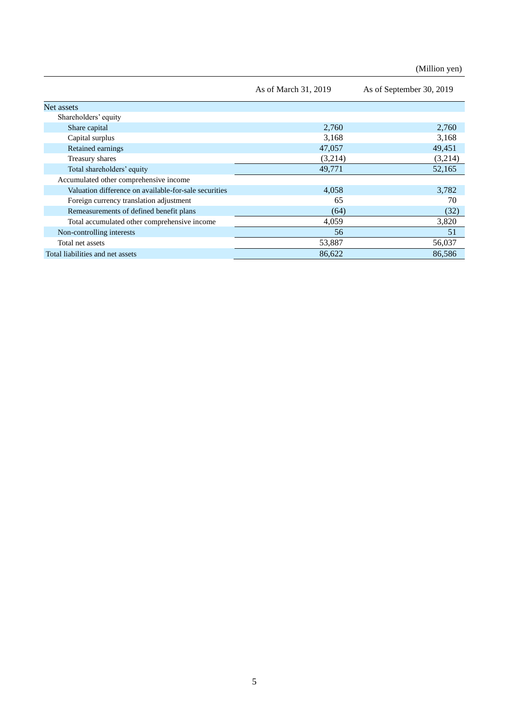(Million yen)

|                                                       | As of March 31, 2019 | As of September 30, 2019 |
|-------------------------------------------------------|----------------------|--------------------------|
| Net assets                                            |                      |                          |
| Shareholders' equity                                  |                      |                          |
| Share capital                                         | 2,760                | 2,760                    |
| Capital surplus                                       | 3,168                | 3,168                    |
| Retained earnings                                     | 47,057               | 49,451                   |
| Treasury shares                                       | (3,214)              | (3,214)                  |
| Total shareholders' equity                            | 49,771               | 52,165                   |
| Accumulated other comprehensive income                |                      |                          |
| Valuation difference on available-for-sale securities | 4,058                | 3,782                    |
| Foreign currency translation adjustment               | 65                   | 70                       |
| Remeasurements of defined benefit plans               | (64)                 | (32)                     |
| Total accumulated other comprehensive income          | 4,059                | 3,820                    |
| Non-controlling interests                             | 56                   | 51                       |
| Total net assets                                      | 53,887               | 56,037                   |
| Total liabilities and net assets                      | 86.622               | 86,586                   |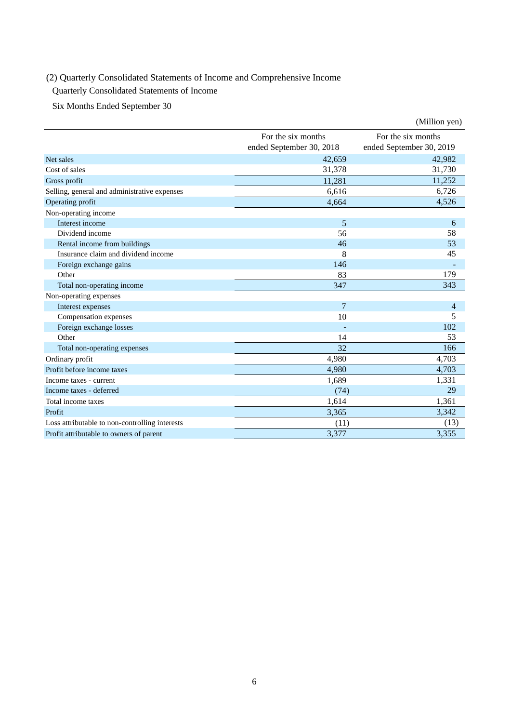## (2) Quarterly Consolidated Statements of Income and Comprehensive Income

Quarterly Consolidated Statements of Income

Six Months Ended September 30

|                                                |                                                | (Million yen)                                  |
|------------------------------------------------|------------------------------------------------|------------------------------------------------|
|                                                | For the six months<br>ended September 30, 2018 | For the six months<br>ended September 30, 2019 |
| Net sales                                      | 42,659                                         | 42,982                                         |
| Cost of sales                                  | 31,378                                         | 31,730                                         |
| Gross profit                                   | 11,281                                         | 11,252                                         |
| Selling, general and administrative expenses   | 6,616                                          | 6,726                                          |
| Operating profit                               | 4,664                                          | 4,526                                          |
| Non-operating income                           |                                                |                                                |
| Interest income                                | 5                                              | 6                                              |
| Dividend income                                | 56                                             | 58                                             |
| Rental income from buildings                   | 46                                             | 53                                             |
| Insurance claim and dividend income            | 8                                              | 45                                             |
| Foreign exchange gains                         | 146                                            |                                                |
| Other                                          | 83                                             | 179                                            |
| Total non-operating income                     | 347                                            | 343                                            |
| Non-operating expenses                         |                                                |                                                |
| Interest expenses                              | 7                                              | $\overline{4}$                                 |
| Compensation expenses                          | 10                                             | 5                                              |
| Foreign exchange losses                        |                                                | 102                                            |
| Other                                          | 14                                             | 53                                             |
| Total non-operating expenses                   | 32                                             | 166                                            |
| Ordinary profit                                | 4,980                                          | 4,703                                          |
| Profit before income taxes                     | 4,980                                          | 4,703                                          |
| Income taxes - current                         | 1,689                                          | 1,331                                          |
| Income taxes - deferred                        | (74)                                           | 29                                             |
| Total income taxes                             | 1,614                                          | 1,361                                          |
| Profit                                         | 3,365                                          | 3,342                                          |
| Loss attributable to non-controlling interests | (11)                                           | (13)                                           |
| Profit attributable to owners of parent        | 3,377                                          | 3,355                                          |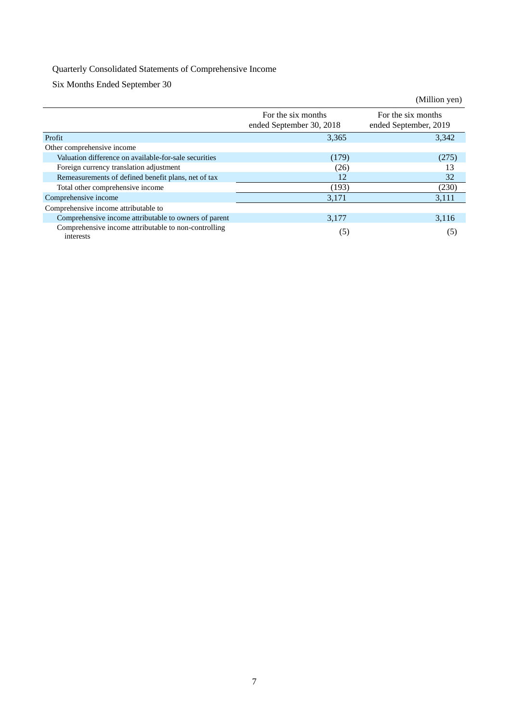## Quarterly Consolidated Statements of Comprehensive Income

Six Months Ended September 30

|                                                                   |                                                | (Million yen)                               |
|-------------------------------------------------------------------|------------------------------------------------|---------------------------------------------|
|                                                                   | For the six months<br>ended September 30, 2018 | For the six months<br>ended September, 2019 |
| Profit                                                            | 3,365                                          | 3,342                                       |
| Other comprehensive income                                        |                                                |                                             |
| Valuation difference on available-for-sale securities             | (179)                                          | (275)                                       |
| Foreign currency translation adjustment                           | (26)                                           | 13                                          |
| Remeasurements of defined benefit plans, net of tax               | 12                                             | 32                                          |
| Total other comprehensive income                                  | (193)                                          | (230)                                       |
| Comprehensive income                                              | 3,171                                          | 3,111                                       |
| Comprehensive income attributable to                              |                                                |                                             |
| Comprehensive income attributable to owners of parent             | 3,177                                          | 3,116                                       |
| Comprehensive income attributable to non-controlling<br>interests | (5)                                            | (5)                                         |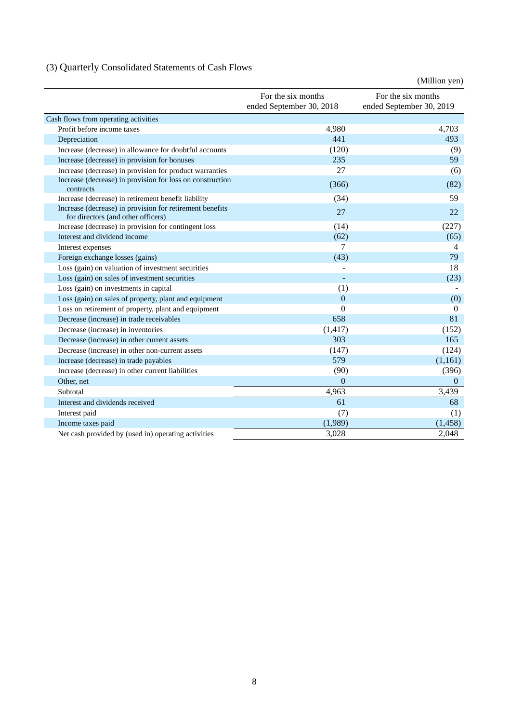# (3) Quarterly Consolidated Statements of Cash Flows

|                                                                                                |                                                | (Million yen)                                  |
|------------------------------------------------------------------------------------------------|------------------------------------------------|------------------------------------------------|
|                                                                                                | For the six months<br>ended September 30, 2018 | For the six months<br>ended September 30, 2019 |
| Cash flows from operating activities                                                           |                                                |                                                |
| Profit before income taxes                                                                     | 4,980                                          | 4,703                                          |
| Depreciation                                                                                   | 441                                            | 493                                            |
| Increase (decrease) in allowance for doubtful accounts                                         | (120)                                          | (9)                                            |
| Increase (decrease) in provision for bonuses                                                   | 235                                            | 59                                             |
| Increase (decrease) in provision for product warranties                                        | 27                                             | (6)                                            |
| Increase (decrease) in provision for loss on construction<br>contracts                         | (366)                                          | (82)                                           |
| Increase (decrease) in retirement benefit liability                                            | (34)                                           | 59                                             |
| Increase (decrease) in provision for retirement benefits<br>for directors (and other officers) | 27                                             | 22.                                            |
| Increase (decrease) in provision for contingent loss                                           | (14)                                           | (227)                                          |
| Interest and dividend income                                                                   | (62)                                           | (65)                                           |
| Interest expenses                                                                              | 7                                              | 4                                              |
| Foreign exchange losses (gains)                                                                | (43)                                           | 79                                             |
| Loss (gain) on valuation of investment securities                                              |                                                | 18                                             |
| Loss (gain) on sales of investment securities                                                  |                                                | (23)                                           |
| Loss (gain) on investments in capital                                                          | (1)                                            |                                                |
| Loss (gain) on sales of property, plant and equipment                                          | $\boldsymbol{0}$                               | (0)                                            |
| Loss on retirement of property, plant and equipment                                            | $\theta$                                       | $\mathbf{0}$                                   |
| Decrease (increase) in trade receivables                                                       | 658                                            | 81                                             |
| Decrease (increase) in inventories                                                             | (1, 417)                                       | (152)                                          |
| Decrease (increase) in other current assets                                                    | 303                                            | 165                                            |
| Decrease (increase) in other non-current assets                                                | (147)                                          | (124)                                          |
| Increase (decrease) in trade payables                                                          | 579                                            | (1,161)                                        |
| Increase (decrease) in other current liabilities                                               | (90)                                           | (396)                                          |
| Other, net                                                                                     | $\mathbf{0}$                                   | $\Omega$                                       |
| Subtotal                                                                                       | 4,963                                          | 3,439                                          |
| Interest and dividends received                                                                | 61                                             | 68                                             |
| Interest paid                                                                                  | (7)                                            | (1)                                            |
| Income taxes paid                                                                              | (1,989)                                        | (1, 458)                                       |
| Net cash provided by (used in) operating activities                                            | 3,028                                          | 2,048                                          |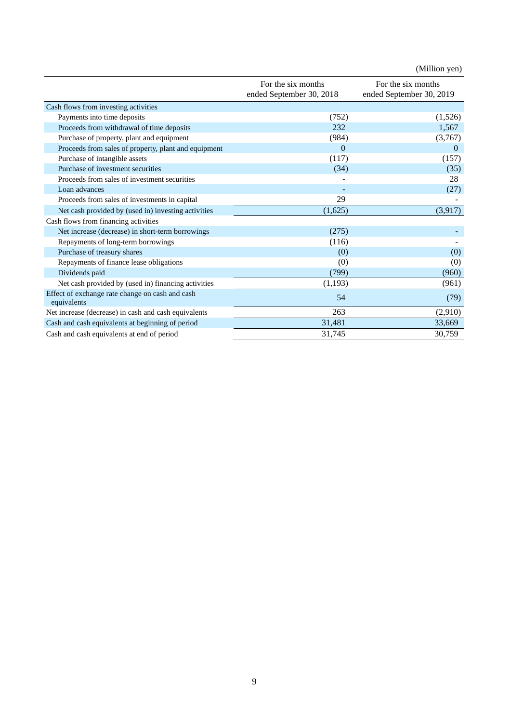|                                                                |                                                | (Million yen)                                  |
|----------------------------------------------------------------|------------------------------------------------|------------------------------------------------|
|                                                                | For the six months<br>ended September 30, 2018 | For the six months<br>ended September 30, 2019 |
| Cash flows from investing activities                           |                                                |                                                |
| Payments into time deposits                                    | (752)                                          | (1,526)                                        |
| Proceeds from withdrawal of time deposits                      | 232                                            | 1,567                                          |
| Purchase of property, plant and equipment                      | (984)                                          | (3,767)                                        |
| Proceeds from sales of property, plant and equipment           | $\theta$                                       | $\theta$                                       |
| Purchase of intangible assets                                  | (117)                                          | (157)                                          |
| Purchase of investment securities                              | (34)                                           | (35)                                           |
| Proceeds from sales of investment securities                   |                                                | 28                                             |
| Loan advances                                                  |                                                | (27)                                           |
| Proceeds from sales of investments in capital                  | 29                                             |                                                |
| Net cash provided by (used in) investing activities            | (1,625)                                        | (3,917)                                        |
| Cash flows from financing activities                           |                                                |                                                |
| Net increase (decrease) in short-term borrowings               | (275)                                          |                                                |
| Repayments of long-term borrowings                             | (116)                                          |                                                |
| Purchase of treasury shares                                    | (0)                                            | (0)                                            |
| Repayments of finance lease obligations                        | (0)                                            | (0)                                            |
| Dividends paid                                                 | (799)                                          | (960)                                          |
| Net cash provided by (used in) financing activities            | (1, 193)                                       | (961)                                          |
| Effect of exchange rate change on cash and cash<br>equivalents | 54                                             | (79)                                           |
| Net increase (decrease) in cash and cash equivalents           | 263                                            | (2,910)                                        |
| Cash and cash equivalents at beginning of period               | 31,481                                         | 33,669                                         |
| Cash and cash equivalents at end of period                     | 31,745                                         | 30,759                                         |